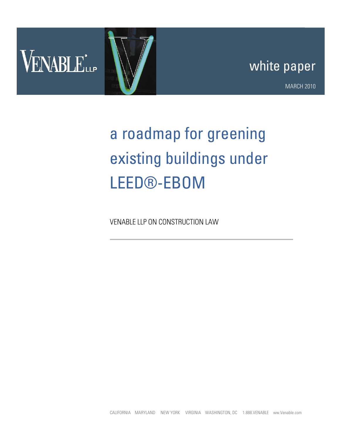

## white paper

MARCH 2010

## a roadmap for greening existing buildings under LEED®-EBOM

VENABLE LLP ON CONSTRUCTION LAW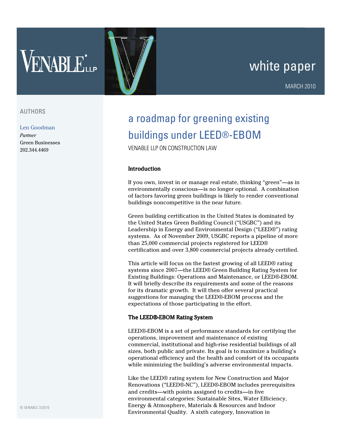# VENABLE<sup>\*</sup>

## white paper

#### AUTHORS

Len Goodman Partner Green Businesses 202.344.4469

### a roadmap for greening existing buildings under LEED®-EBOM

VENABLE LLP ON CONSTRUCTION LAW

#### **Introduction**

If you own, invest in or manage real estate, thinking "green"—as in environmentally conscious—is no longer optional. A combination of factors favoring green buildings is likely to render conventional buildings noncompetitive in the near future.

Green building certification in the United States is dominated by the United States Green Building Council ("USGBC") and its Leadership in Energy and Environmental Design ("LEED®") rating systems. As of November 2009, USGBC reports a pipeline of more than 25,000 commercial projects registered for LEED® certification and over 3,800 commercial projects already certified.

This article will focus on the fastest growing of all LEED® rating systems since 2007—the LEED® Green Building Rating System for Existing Buildings: Operations and Maintenance, or LEED®-EBOM. It will briefly describe its requirements and some of the reasons for its dramatic growth. It will then offer several practical suggestions for managing the LEED®-EBOM process and the expectations of those participating in the effort.

#### The LEED®-EBOM Rating System

LEED®-EBOM is a set of performance standards for certifying the operations, improvement and maintenance of existing commercial, institutional and high-rise residential buildings of all sizes, both public and private. Its goal is to maximize a building's operational efficiency and the health and comfort of its occupants while minimizing the building's adverse environmental impacts.

Like the LEED® rating system for New Construction and Major Renovations ("LEED®-NC"), LEED®-EBOM includes prerequisites and credits—with points assigned to credits—in five environmental categories: Sustainable Sites, Water Efficiency, Energy & Atmosphere, Materials & Resources and Indoor Environmental Quality. A sixth category, Innovation in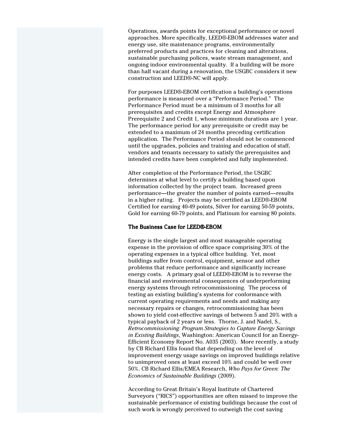Operations, awards points for exceptional performance or novel approaches. More specifically, LEED®-EBOM addresses water and energy use, site maintenance programs, environmentally preferred products and practices for cleaning and alterations, sustainable purchasing polices, waste stream management, and ongoing indoor environmental quality. If a building will be more than half vacant during a renovation, the USGBC considers it new construction and LEED®-NC will apply.

For purposes LEED®-EBOM certification a building's operations performance is measured over a "Performance Period." The Performance Period must be a minimum of 3 months for all prerequisites and credits except Energy and Atmosphere Prerequisite 2 and Credit 1, whose minimum durations are 1 year. The performance period for any prerequisite or credit may be extended to a maximum of 24 months preceding certification application. The Performance Period should not be commenced until the upgrades, policies and training and education of staff, vendors and tenants necessary to satisfy the prerequisites and intended credits have been completed and fully implemented.

After completion of the Performance Period, the USGBC determines at what level to certify a building based upon information collected by the project team. Increased green performance—the greater the number of points earned—results in a higher rating. Projects may be certified as LEED®-EBOM Certified for earning 40-49 points, Silver for earning 50-59 points, Gold for earning 60-79 points, and Platinum for earning 80 points.

#### The Business Case for LEED®-EBOM

Energy is the single largest and most manageable operating expense in the provision of office space comprising 30% of the operating expenses in a typical office building. Yet, most buildings suffer from control, equipment, sensor and other problems that reduce performance and significantly increase energy costs. A primary goal of LEED®-EBOM is to reverse the financial and environmental consequences of underperforming energy systems through retrocommissioning. The process of testing an existing building's systems for conformance with current operating requirements and needs and making any necessary repairs or changes, retrocommissioning has been shown to yield cost-effective savings of between 5 and 20% with a typical payback of 2 years or less. Thorne, J. and Nadel, S., Retrocommissioning: Program Strategies to Capture Energy Savings in Existing Buildings, Washington: American Council for an Energy-Efficient Economy Report No. A035 (2003). More recently, a study by CB Richard Ellis found that depending on the level of improvement energy usage savings on improved buildings relative to unimproved ones at least exceed 10% and could be well over 50%. CB Richard Ellis/EMEA Research, Who Pays for Green: The Economics of Sustainable Buildings (2009).

According to Great Britain's Royal Institute of Chartered Surveyors ("RICS") opportunities are often missed to improve the sustainable performance of existing buildings because the cost of such work is wrongly perceived to outweigh the cost saving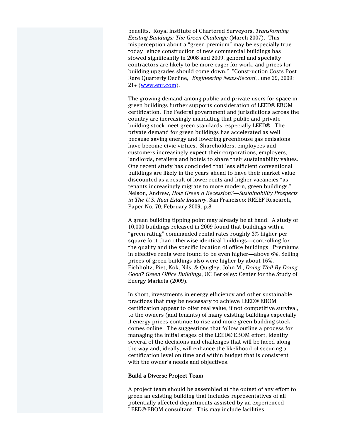benefits. Royal Institute of Chartered Surveyors, Transforming Existing Buildings: The Green Challenge (March 2007). This misperception about a "green premium" may be especially true today "since construction of new commercial buildings has slowed significantly in 2008 and 2009, general and specialty contractors are likely to be more eager for work, and prices for building upgrades should come down." "Construction Costs Post Rare Quarterly Decline," Engineering News-Record, June 29, 2009:  $21 + (www.enr.com)$ .

The growing demand among public and private users for space in green buildings further supports consideration of LEED® EBOM certification. The Federal government and jurisdictions across the country are increasingly mandating that public and private building stock meet green standards, especially LEED®. The private demand for green buildings has accelerated as well because saving energy and lowering greenhouse gas emissions have become civic virtues. Shareholders, employees and customers increasingly expect their corporations, employers, landlords, retailers and hotels to share their sustainability values. One recent study has concluded that less efficient conventional buildings are likely in the years ahead to have their market value discounted as a result of lower rents and higher vacancies "as tenants increasingly migrate to more modern, green buildings." Nelson, Andrew, How Green a Recession?—Sustainability Prospects in The U.S. Real Estate Industry, San Francisco: RREEF Research, Paper No. 70, February 2009, p.8.

A green building tipping point may already be at hand. A study of 10,000 buildings released in 2009 found that buildings with a "green rating" commanded rental rates roughly 3% higher per square foot than otherwise identical buildings—controlling for the quality and the specific location of office buildings. Premiums in effective rents were found to be even higher—above 6%. Selling prices of green buildings also were higher by about 16%. Eichholtz, Piet, Kok, Nils, & Quigley, John M., Doing Well By Doing Good? Green Office Buildings, UC Berkeley: Center for the Study of Energy Markets (2009).

In short, investments in energy efficiency and other sustainable practices that may be necessary to achieve LEED® EBOM certification appear to offer real value, if not competitive survival, to the owners (and tenants) of many existing buildings especially if energy prices continue to rise and more green building stock comes online. The suggestions that follow outline a process for managing the initial stages of the LEED® EBOM effort, identify several of the decisions and challenges that will be faced along the way and, ideally, will enhance the likelihood of securing a certification level on time and within budget that is consistent with the owner's needs and objectives.

#### Build a Diverse Project Team

A project team should be assembled at the outset of any effort to green an existing building that includes representatives of all potentially affected departments assisted by an experienced LEED®-EBOM consultant. This may include facilities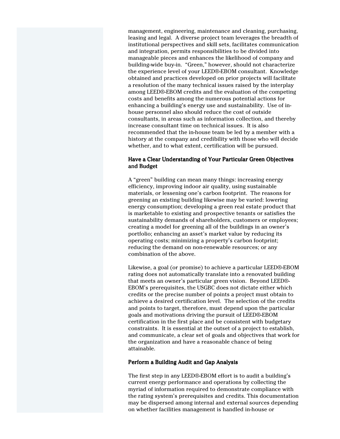management, engineering, maintenance and cleaning, purchasing, leasing and legal. A diverse project team leverages the breadth of institutional perspectives and skill sets, facilitates communication and integration, permits responsibilities to be divided into manageable pieces and enhances the likelihood of company and building-wide buy-in. "Green," however, should not characterize the experience level of your LEED®-EBOM consultant. Knowledge obtained and practices developed on prior projects will facilitate a resolution of the many technical issues raised by the interplay among LEED®-EBOM credits and the evaluation of the competing costs and benefits among the numerous potential actions for enhancing a building's energy use and sustainability. Use of inhouse personnel also should reduce the cost of outside consultants, in areas such as information collection, and thereby increase consultant time on technical issues. It is also recommended that the in-house team be led by a member with a history at the company and credibility with those who will decide whether, and to what extent, certification will be pursued.

#### Have a Clear Understanding of Your Particular Green Objectives and Budget

A "green" building can mean many things: increasing energy efficiency, improving indoor air quality, using sustainable materials, or lessening one's carbon footprint. The reasons for greening an existing building likewise may be varied: lowering energy consumption; developing a green real estate product that is marketable to existing and prospective tenants or satisfies the sustainability demands of shareholders, customers or employees; creating a model for greening all of the buildings in an owner's portfolio; enhancing an asset's market value by reducing its operating costs; minimizing a property's carbon footprint; reducing the demand on non-renewable resources; or any combination of the above.

Likewise, a goal (or promise) to achieve a particular LEED®-EBOM rating does not automatically translate into a renovated building that meets an owner's particular green vision. Beyond LEED®- EBOM's prerequisites, the USGBC does not dictate either which credits or the precise number of points a project must obtain to achieve a desired certification level. The selection of the credits and points to target, therefore, must depend upon the particular goals and motivations driving the pursuit of LEED®-EBOM certification in the first place and be consistent with budgetary constraints. It is essential at the outset of a project to establish, and communicate, a clear set of goals and objectives that work for the organization and have a reasonable chance of being attainable.

#### Perform a Building Audit and Gap Analysis

The first step in any LEED®-EBOM effort is to audit a building's current energy performance and operations by collecting the myriad of information required to demonstrate compliance with the rating system's prerequisites and credits. This documentation may be dispersed among internal and external sources depending on whether facilities management is handled in-house or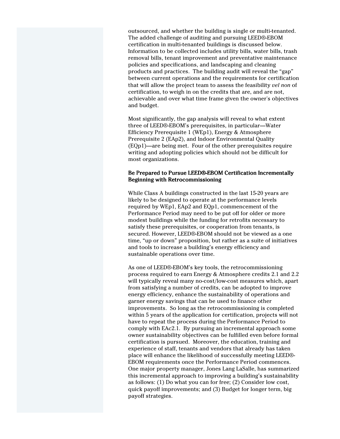outsourced, and whether the building is single or multi-tenanted. The added challenge of auditing and pursuing LEED®-EBOM certification in multi-tenanted buildings is discussed below. Information to be collected includes utility bills, water bills, trash removal bills, tenant improvement and preventative maintenance policies and specifications, and landscaping and cleaning products and practices. The building audit will reveal the "gap" between current operations and the requirements for certification that will allow the project team to assess the feasibility vel non of certification, to weigh in on the credits that are, and are not, achievable and over what time frame given the owner's objectives and budget.

Most significantly, the gap analysis will reveal to what extent three of LEED®-EBOM's prerequisites, in particular—Water Efficiency Prerequisite 1 (WEp1), Energy & Atmosphere Prerequisite 2 (EAp2), and Indoor Environmental Quality (EQp1)—are being met. Four of the other prerequisites require writing and adopting policies which should not be difficult for most organizations.

#### Be Prepared to Pursue LEED®-EBOM Certification Incrementally Beginning with Retrocommissioning

While Class A buildings constructed in the last 15-20 years are likely to be designed to operate at the performance levels required by WEp1, EAp2 and EQp1, commencement of the Performance Period may need to be put off for older or more modest buildings while the funding for retrofits necessary to satisfy these prerequisites, or cooperation from tenants, is secured. However, LEED®-EBOM should not be viewed as a one time, "up or down" proposition, but rather as a suite of initiatives and tools to increase a building's energy efficiency and sustainable operations over time.

As one of LEED®-EBOM's key tools, the retrocommissioning process required to earn Energy & Atmosphere credits 2.1 and 2.2 will typically reveal many no-cost/low-cost measures which, apart from satisfying a number of credits, can be adopted to improve energy efficiency, enhance the sustainability of operations and garner energy savings that can be used to finance other improvements. So long as the retrocommissioning is completed within 5 years of the application for certification, projects will not have to repeat the process during the Performance Period to comply with EAc2.1. By pursuing an incremental approach some owner sustainability objectives can be fulfilled even before formal certification is pursued. Moreover, the education, training and experience of staff, tenants and vendors that already has taken place will enhance the likelihood of successfully meeting LEED®- EBOM requirements once the Performance Period commences. One major property manager, Jones Lang LaSalle, has summarized this incremental approach to improving a building's sustainability as follows: (1) Do what you can for free; (2) Consider low cost, quick payoff improvements; and (3) Budget for longer term, big payoff strategies.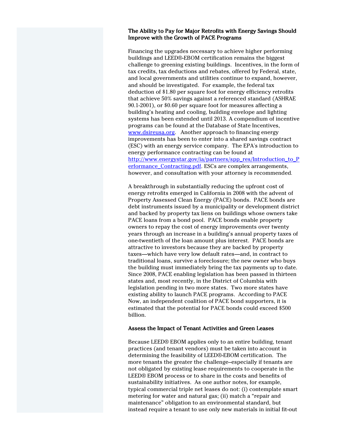#### The Ability to Pay for Major Retrofits with Energy Savings Should Improve with the Growth of PACE Programs

Financing the upgrades necessary to achieve higher performing buildings and LEED®-EBOM certification remains the biggest challenge to greening existing buildings. Incentives, in the form of tax credits, tax deductions and rebates, offered by Federal, state, and local governments and utilities continue to expand, however, and should be investigated. For example, the federal tax deduction of \$1.80 per square foot for energy efficiency retrofits that achieve 50% savings against a referenced standard (ASHRAE 90.1-2001), or \$0.60 per square foot for measures affecting a building's heating and cooling, building envelope and lighting systems has been extended until 2013. A compendium of incentive programs can be found at the Database of State Incentives, www.dsireusa.org. Another approach to financing energy improvements has been to enter into a shared savings contract (ESC) with an energy service company. The EPA's introduction to energy performance contracting can be found at http://www.energystar.gov/ia/partners/spp\_res/Introduction\_to\_P erformance\_Contracting.pdf. ESCs are complex arrangements, however, and consultation with your attorney is recommended.

A breakthrough in substantially reducing the upfront cost of energy retrofits emerged in California in 2008 with the advent of Property Assessed Clean Energy (PACE) bonds. PACE bonds are debt instruments issued by a municipality or development district and backed by property tax liens on buildings whose owners take PACE loans from a bond pool. PACE bonds enable property owners to repay the cost of energy improvements over twenty years through an increase in a building's annual property taxes of one-twentieth of the loan amount plus interest. PACE bonds are attractive to investors because they are backed by property taxes—which have very low default rates—and, in contract to traditional loans, survive a foreclosure; the new owner who buys the building must immediately bring the tax payments up to date. Since 2008, PACE enabling legislation has been passed in thirteen states and, most recently, in the District of Columbia with legislation pending in two more states. Two more states have existing ability to launch PACE programs. According to PACE Now, an independent coalition of PACE bond supporters, it is estimated that the potential for PACE bonds could exceed \$500 billion.

#### Assess the Impact of Tenant Activities and Green Leases

Because LEED® EBOM applies only to an entire building, tenant practices (and tenant vendors) must be taken into account in determining the feasibility of LEED®-EBOM certification. The more tenants the greater the challenge--especially if tenants are not obligated by existing lease requirements to cooperate in the LEED® EBOM process or to share in the costs and benefits of sustainability initiatives. As one author notes, for example, typical commercial triple net leases do not: (i) contemplate smart metering for water and natural gas; (ii) match a "repair and maintenance" obligation to an environmental standard, but instead require a tenant to use only new materials in initial fit-out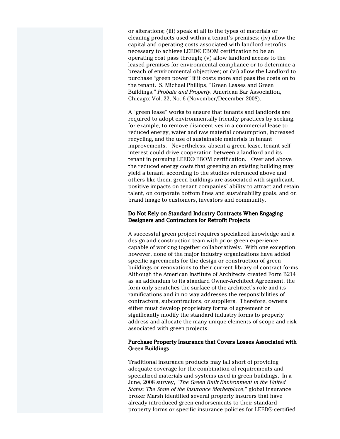or alterations; (iii) speak at all to the types of materials or cleaning products used within a tenant's premises; (iv) allow the capital and operating costs associated with landlord retrofits necessary to achieve LEED® EBOM certification to be an operating cost pass through; (v) allow landlord access to the leased premises for environmental compliance or to determine a breach of environmental objectives; or (vi) allow the Landlord to purchase "green power" if it costs more and pass the costs on to the tenant. S. Michael Phillips, "Green Leases and Green Buildings," Probate and Property, American Bar Association, Chicago: Vol. 22, No. 6 (November/December 2008).

A "green lease" works to ensure that tenants and landlords are required to adopt environmentally friendly practices by seeking, for example, to remove disincentives in a commercial lease to reduced energy, water and raw material consumption, increased recycling, and the use of sustainable materials in tenant improvements. Nevertheless, absent a green lease, tenant self interest could drive cooperation between a landlord and its tenant in pursuing LEED® EBOM certification. Over and above the reduced energy costs that greening an existing building may yield a tenant, according to the studies referenced above and others like them, green buildings are associated with significant, positive impacts on tenant companies' ability to attract and retain talent, on corporate bottom lines and sustainability goals, and on brand image to customers, investors and community.

#### Do Not Rely on Standard Industry Contracts When Engaging Designers and Contractors for Retrofit Projects

A successful green project requires specialized knowledge and a design and construction team with prior green experience capable of working together collaboratively. With one exception, however, none of the major industry organizations have added specific agreements for the design or construction of green buildings or renovations to their current library of contract forms. Although the American Institute of Architects created Form B214 as an addendum to its standard Owner-Architect Agreement, the form only scratches the surface of the architect's role and its ramifications and in no way addresses the responsibilities of contractors, subcontractors, or suppliers. Therefore, owners either must develop proprietary forms of agreement or significantly modify the standard industry forms to properly address and allocate the many unique elements of scope and risk associated with green projects.

#### Purchase Property Insurance that Covers Losses Associated with Green Buildings Green Buildings

Traditional insurance products may fall short of providing adequate coverage for the combination of requirements and specialized materials and systems used in green buildings. In a June, 2008 survey, "The Green Built Environment in the United States: The State of the Insurance Marketplace," global insurance broker Marsh identified several property insurers that have already introduced green endorsements to their standard property forms or specific insurance policies for LEED® certified